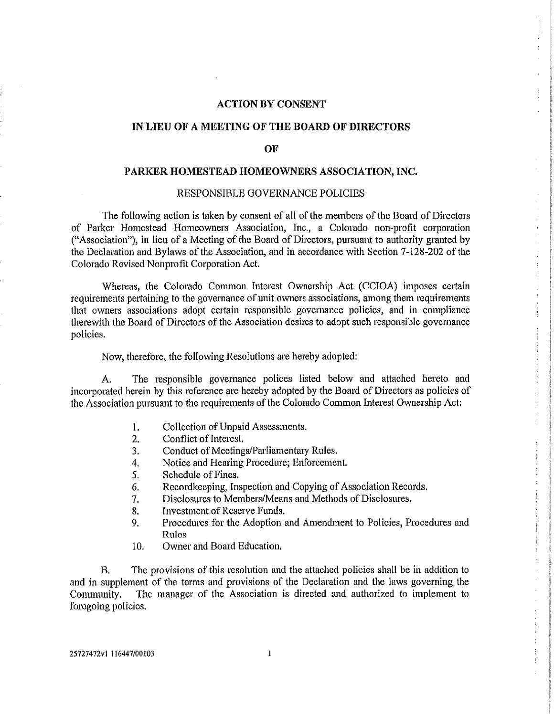## **ACTION BY CONSENT**

# **IN LIEU OF A MEETING OF THE BOARD OF DIRECTORS**

#### **OF**

### **PARKER HOMESTEAD HOMEOWNERS ASSOCIATION, INC.**

#### RESPONSIBLE GOVERNANCE POLICIES

The following action is taken by consent of all of the members of the Board of Directors of Parker Homestead Homeowners Association, Inc., a Colorado non-profit corporation ("Association"), in lieu of a Meeting of the Board of Directors, pursuant to authority granted by the Declaration and Bylaws of the Association, and in accordance with Section 7-128-202 of the Colorado Revised Nonprofit Corporation Act.

Whereas, the Colorado Common Interest Ownership Act (CCIOA) imposes certain requirements pertaining to the governance of unit owners associations, among them requirements that owners associations adopt certain responsible governance policies, and in compliance therewith the Board of Directors of the Association desires to adopt such responsible governance policies.

Now, therefore, the following Resolutions are hereby adopted:

A. The responsible governance polices listed below and attached hereto and incorporated herein by this reference are hereby adopted by the Board of Directors as policies of the Association pursuant to the requirements of the Colorado Common Interest Ownership Act:

- 1. Collection of Unpaid Assessments.
- 2. Conflict of Interest.
- 3. Conduct of Meetings/Parliamentary Rules.
- 4, Notice and Hearing Procedure; Enforcement.
- 5. Schedule of Fines.
- 6. Recordkeeping, Inspection and Copying of Association Records.
- 7. Disclosures to Members/Means and Methods of Disclosures.
- 8. Investment of Reserve Funds.
- 9. Procedures for the Adoption and Amendment to Policies, Procedures and Rules
- 10. Owner and Board Education.

B. The provisions of this resolution and the attached policies shall be in addition to and in supplement of the terms and provisions of the Declaration and the laws governing the Community. The manager of the Association is directed and authorized to implement to foregoing policies.